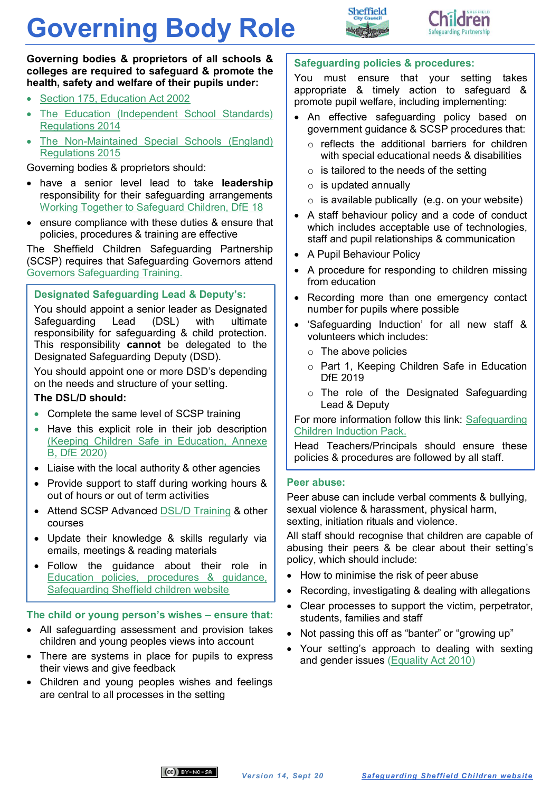# **Governing Body Role**





**Governing bodies & proprietors of all schools & colleges are required to safeguard & promote the health, safety and welfare of their pupils under:**

- [Section 175, Education Act 2002](https://www.legislation.gov.uk/ukpga/2002/32/section/175)
- [The Education \(Independent School Standards\)](https://www.legislation.gov.uk/uksi/2014/3283/schedule/made)  [Regulations 2014](https://www.legislation.gov.uk/uksi/2014/3283/schedule/made)
- [The Non-Maintained Special Schools \(England\)](https://www.legislation.gov.uk/uksi/2015/728/contents/made)  [Regulations 2015](https://www.legislation.gov.uk/uksi/2015/728/contents/made)

Governing bodies & proprietors should:

- have a senior level lead to take **leadership**  responsibility for their safeguarding arrangements [Working Together to Safeguard Children, DfE 18](https://www.gov.uk/government/publications/working-together-to-safeguard-children--2)
- ensure compliance with these duties & ensure that policies, procedures & training are effective

The Sheffield Children Safeguarding Partnership (SCSP) requires that Safeguarding Governors attend [Governors Safeguarding Training.](http://www.safeguardingsheffieldchildren.org/sscb/education-training/heads-safeguarding-governors)

### **Designated Safeguarding Lead & Deputy's:**

You should appoint a senior leader as Designated Safeguarding Lead (DSL) with ultimate responsibility for safeguarding & child protection. This responsibility **cannot** be delegated to the Designated Safeguarding Deputy (DSD).

You should appoint one or more DSD's depending on the needs and structure of your setting.

#### **The DSL/D should:**

- Complete the same level of SCSP training
- Have this explicit role in their job description [\(Keeping Children Safe in Education,](https://assets.publishing.service.gov.uk/government/uploads/system/uploads/attachment_data/file/892394/Keeping_children_safe_in_education_2020.pdf) Annexe B, DfE [2020\)](https://assets.publishing.service.gov.uk/government/uploads/system/uploads/attachment_data/file/892394/Keeping_children_safe_in_education_2020.pdf)
- Liaise with the local authority & other agencies
- Provide support to staff during working hours & out of hours or out of term activities
- Attend SCSP Advanced [DSL/D Training](https://www.safeguardingsheffieldchildren.org/sscb/education-training/designated-safeguarding-leads) & other courses
- Update their knowledge & skills regularly via emails, meetings & reading materials
- Follow the guidance about their role in [Education policies,](https://www.safeguardingsheffieldchildren.org/sscb/education/policies-procedures) procedures & guidance, [Safeguarding Sheffield children website](https://www.safeguardingsheffieldchildren.org/sscb/education/policies-procedures)

#### **The child or young person's wishes – ensure that:**

- All safeguarding assessment and provision takes children and young peoples views into account
- There are systems in place for pupils to express their views and give feedback
- Children and young peoples wishes and feelings are central to all processes in the setting

#### **Safeguarding policies & procedures:**

You must ensure that your setting takes appropriate & timely action to safeguard & promote pupil welfare, including implementing:

- An effective safeguarding policy based on government guidance & SCSP procedures that:
	- o reflects the additional barriers for children with special educational needs & disabilities
	- $\circ$  is tailored to the needs of the setting
	- $\circ$  is updated annually
	- $\circ$  is available publically (e.g. on your website)
- A staff behaviour policy and a code of conduct which includes acceptable use of technologies. staff and pupil relationships & communication
- A Pupil Behaviour Policy
- A procedure for responding to children missing [from education](https://www.safeguardingsheffieldchildren.org/sscb/education/policies-procedures)
- Recording more than one emergency contact number for pupils where possible
- 'Safeguarding Induction' for all new staff & volunteers which includes:
	- o The above policies
	- o [Part 1, Keeping Children Safe in Education](https://www.gov.uk/government/publications/keeping-children-safe-in-education--2)  [DfE 2019](https://www.gov.uk/government/publications/keeping-children-safe-in-education--2)
	- o The role of the Designated Safeguarding Lead & Deputy

For more information follow this link: [Safeguarding](https://www.safeguardingsheffieldchildren.org/sscb/education/toolkit) Children [Induction](https://www.safeguardingsheffieldchildren.org/sscb/education/toolkit) Pack.

Head Teachers/Principals should ensure these policies & procedures are followed by all staff.

#### **Peer abuse:**

Peer abuse can include verbal comments & bullying, sexual violence & harassment, physical harm, sexting, initiation rituals and violence.

All staff should recognise that children are capable of abusing their peers & be clear about their setting's policy, which should include:

- How to minimise the risk of peer abuse
- Recording, investigating & dealing with allegations
- Clear processes to support the victim, perpetrator, students, families and staff
- Not passing this off as "banter" or "growing up"
- Your setting's approach to dealing with sexting and gender issues [\(Equality Act 2010\)]((https:/www.legislation.gov.uk/ukpga/2010/15/contents))

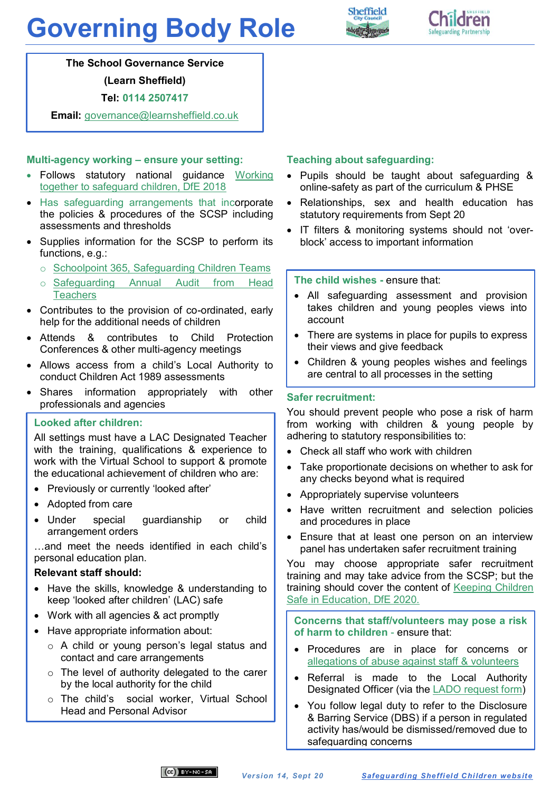# **Governing Body Role**





**The School Governance Service**

**(Learn Sheffield)**

**Tel: 0114 2507417**

**Email:** [governance@learnsheffield.co.uk](mailto:governance@learnsheffield.co.uk)

#### **Multi-agency working – ensure your setting:**

- Follows statutory national guidance [Working](https://www.gov.uk/government/publications/working-together-to-safeguard-children--2)  [together to safeguard children, DfE 2018](https://www.gov.uk/government/publications/working-together-to-safeguard-children--2)
- Has safeguarding arrangements that incorporate the policies & procedures of the SCSP including assessments and thresholds
- Supplies information for the SCSP to perform its functions, e.g.:
	- o [Schoolpoint 365, Safeguarding Children Teams](https://www.safeguardingsheffieldchildren.org/sscb/education/schoolpoint-365-safeguarding-children-teams)
	- o [Safeguarding Annual Audit from Head](https://www.safeguardingsheffieldchildren.org/sscb/education/safeguarding-annual-audit-from-head-teachers)  **[Teachers](https://www.safeguardingsheffieldchildren.org/sscb/education/safeguarding-annual-audit-from-head-teachers)**
- Contributes to the provision of co-ordinated, early help for the additional needs of children
- Attends & contributes to Child Protection Conferences & other multi-agency meetings
- Allows access from a child's Local Authority to conduct Children Act 1989 assessments
- Shares information appropriately with other professionals and agencies

# **Looked after children:**

All settings must have a LAC Designated Teacher with the training, qualifications & experience to work with the Virtual School to support & promote the educational achievement of children who are:

- Previously or currently 'looked after'
- Adopted from care
- Under special guardianship or child arrangement orders

…and meet the needs identified in each child's personal education plan.

#### **Relevant staff should:**

- Have the skills, knowledge & understanding to keep 'looked after children' (LAC) safe
- Work with all agencies & act promptly
- Have appropriate information about:
	- o A child or young person's legal status and contact and care arrangements
	- o The level of authority delegated to the carer by the local authority for the child
	- o The child's social worker, Virtual School Head and Personal Advisor

## **Teaching about safeguarding:**

- Pupils should be taught about safeguarding & online-safety as part of the curriculum & PHSE
- Relationships, sex and health education has statutory requirements from Sept 20
- IT filters & monitoring systems should not 'overblock' access to important information

#### **The child wishes -** ensure that:

- All safeguarding assessment and provision takes children and young peoples views into account
- There are systems in place for pupils to express their views and give feedback
- Children & young peoples wishes and feelings are central to all processes in the setting

#### **Safer recruitment:**

You should prevent people who pose a risk of harm from working with children & young people by adhering to statutory responsibilities to:

- Check all staff who work with children
- Take proportionate decisions on whether to ask for any checks beyond what is required
- Appropriately supervise volunteers
- Have written recruitment and selection policies and procedures in place
- Ensure that at least one person on an interview panel has undertaken safer recruitment training

You may choose appropriate safer recruitment training and may take advice from the SCSP; but the training should cover the content of [Keeping Children](https://www.gov.uk/government/publications/keeping-children-safe-in-education--2)  [Safe in Education, DfE 2020.](https://www.gov.uk/government/publications/keeping-children-safe-in-education--2)

**Concerns that staff/volunteers may pose a risk of harm to children** - ensure that:

- Procedures are in place for concerns or [allegations of abuse against staff &](https://www.safeguardingsheffieldchildren.org/sscb/education/policies-procedures) volunteers
- Referral is made to the Local Authority Designated Officer (via the [LADO request form\)](http://www.safeguardingsheffieldchildren.org/sscb/safeguarding-information-and-resources/allegations-of-abuse-against-people-who-work-with-children)
- You follow legal duty to refer to the Disclosure & Barring Service (DBS) if a person in regulated activity has/would be dismissed/removed due to safeguarding concerns